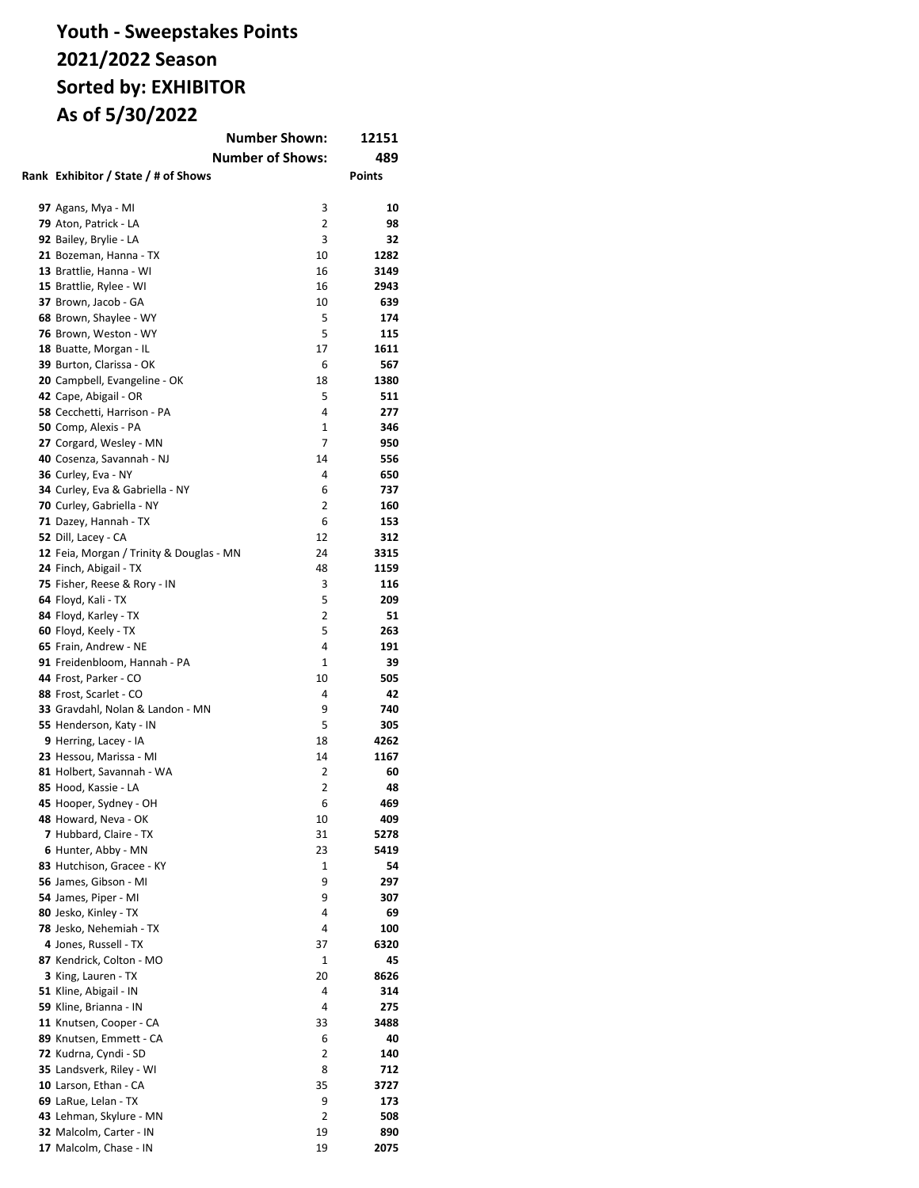### **Youth - Sweepstakes Points 2021/2022 Season Sorted by: EXHIBITOR As of 5/30/2022**

| <b>Number Shown:</b><br>12151                 |                         |               |  |
|-----------------------------------------------|-------------------------|---------------|--|
|                                               | <b>Number of Shows:</b> | 489           |  |
| Rank Exhibitor / State / # of Shows           |                         | <b>Points</b> |  |
|                                               |                         |               |  |
| 97 Agans, Mya - MI                            | 3                       | 10            |  |
| 79 Aton, Patrick - LA                         | 2                       | 98            |  |
| 92 Bailey, Brylie - LA                        | 3                       | 32            |  |
| 21 Bozeman, Hanna - TX                        | 10                      | 1282          |  |
| 13 Brattlie, Hanna - WI                       | 16                      | 3149          |  |
| 15 Brattlie, Rylee - WI                       | 16                      | 2943          |  |
| 37 Brown, Jacob - GA                          | 10                      | 639           |  |
| 68 Brown, Shaylee - WY                        | 5                       | 174           |  |
| 76 Brown, Weston - WY                         | 5                       | 115           |  |
| 18 Buatte, Morgan - IL                        | 17                      | 1611          |  |
| 39 Burton, Clarissa - OK                      | 6                       | 567           |  |
| 20 Campbell, Evangeline - OK                  | 18                      | 1380          |  |
| 42 Cape, Abigail - OR                         | 5                       | 511           |  |
| 58 Cecchetti, Harrison - PA                   | 4                       | 277           |  |
| 50 Comp, Alexis - PA                          | 1                       | 346           |  |
| 27 Corgard, Wesley - MN                       | 7                       | 950           |  |
| 40 Cosenza, Savannah - NJ                     | 14                      | 556           |  |
| 36 Curley, Eva - NY                           | 4                       | 650           |  |
| 34 Curley, Eva & Gabriella - NY               | 6                       | 737           |  |
| 70 Curley, Gabriella - NY                     | 2                       | 160           |  |
| 71 Dazey, Hannah - TX                         | 6                       | 153           |  |
| 52 Dill, Lacey - CA                           | 12                      | 312           |  |
| 12 Feia, Morgan / Trinity & Douglas - MN      | 24                      | 3315          |  |
| 24 Finch, Abigail - TX                        | 48                      | 1159          |  |
| 75 Fisher, Reese & Rory - IN                  | 3<br>5                  | 116<br>209    |  |
| 64 Floyd, Kali - TX                           | 2                       | 51            |  |
| 84 Floyd, Karley - TX<br>60 Floyd, Keely - TX | 5                       | 263           |  |
| 65 Frain, Andrew - NE                         | 4                       | 191           |  |
| 91 Freidenbloom, Hannah - PA                  | 1                       | 39            |  |
| 44 Frost, Parker - CO                         | 10                      | 505           |  |
| 88 Frost, Scarlet - CO                        | 4                       | 42            |  |
| 33 Gravdahl, Nolan & Landon - MN              | 9                       | 740           |  |
| 55 Henderson, Katy - IN                       | 5                       | 305           |  |
| 9 Herring, Lacey - IA                         | 18                      | 4262          |  |
| 23 Hessou, Marissa - MI                       | 14                      | 1167          |  |
| 81 Holbert, Savannah - WA                     | 2                       | 60            |  |
| 85 Hood, Kassie - LA                          | $\overline{2}$          | 48            |  |
| 45 Hooper, Sydney - OH                        | 6                       | 469           |  |
| 48 Howard, Neva - OK                          | 10                      | 409           |  |
| 7 Hubbard, Claire - TX                        | 31                      | 5278          |  |
| 6 Hunter, Abby - MN                           | 23                      | 5419          |  |
| 83 Hutchison, Gracee - KY                     | 1                       | 54            |  |
| 56 James, Gibson - MI                         | 9                       | 297           |  |
| 54 James, Piper - MI                          | 9                       | 307           |  |
| 80 Jesko, Kinley - TX                         | 4                       | 69            |  |
| 78 Jesko, Nehemiah - TX                       | 4                       | 100           |  |
| 4 Jones, Russell - TX                         | 37                      | 6320          |  |
| 87 Kendrick, Colton - MO                      | 1                       | 45            |  |
| 3 King, Lauren - TX                           | 20                      | 8626          |  |
| 51 Kline, Abigail - IN                        | 4                       | 314           |  |
| 59 Kline, Brianna - IN                        | 4                       | 275           |  |
| 11 Knutsen, Cooper - CA                       | 33                      | 3488          |  |
| 89 Knutsen, Emmett - CA                       | 6                       | 40            |  |
| 72 Kudrna, Cyndi - SD                         | 2                       | 140           |  |
| 35 Landsverk, Riley - WI                      | 8                       | 712           |  |
| 10 Larson, Ethan - CA                         | 35                      | 3727          |  |
| 69 LaRue, Lelan - TX                          | 9                       | 173           |  |
| 43 Lehman, Skylure - MN                       | 2                       | 508           |  |
| 32 Malcolm, Carter - IN                       | 19                      | 890           |  |
| 17 Malcolm, Chase - IN                        | 19                      | 2075          |  |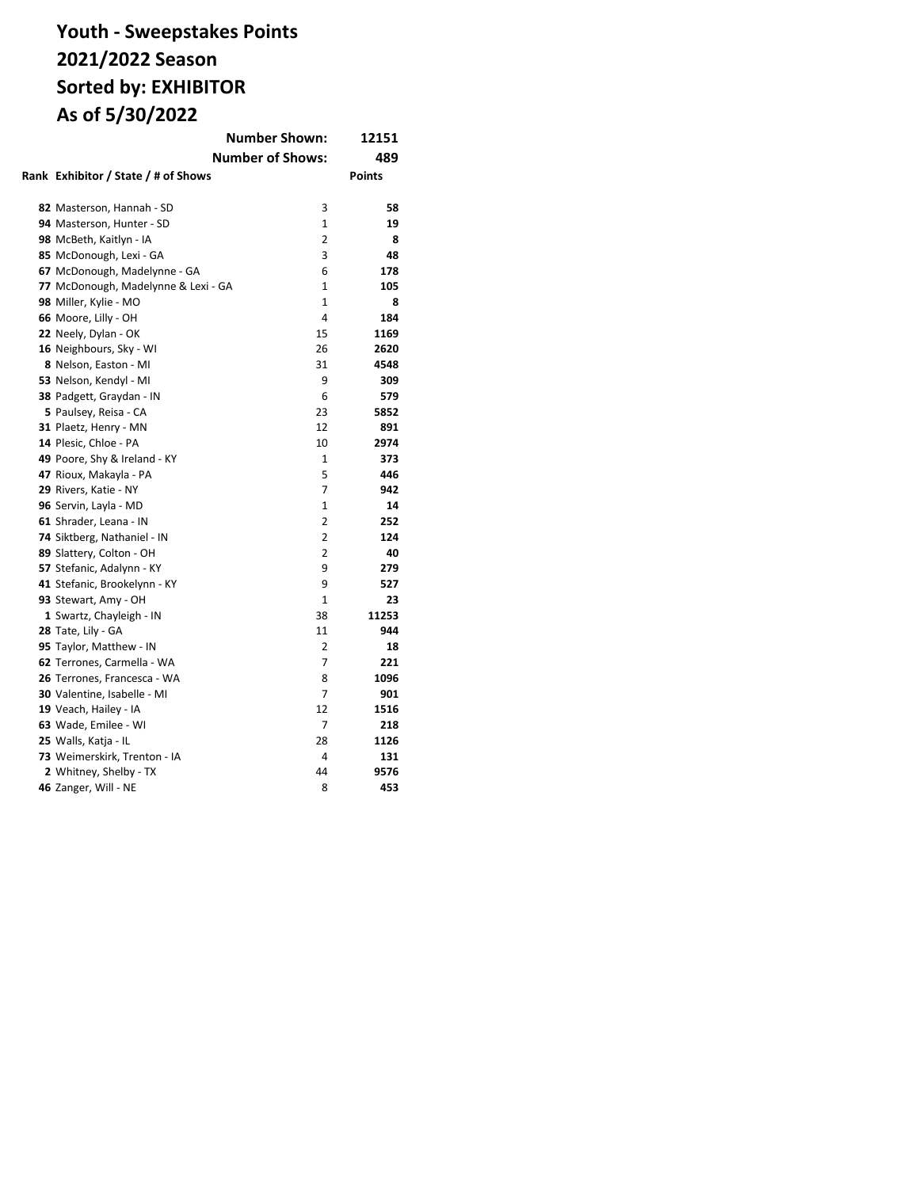### **Youth - Sweepstakes Points 2021/2022 Season Sorted by: EXHIBITOR As of 5/30/2022**

|                                     | <b>Number Shown:</b>    | 12151         |
|-------------------------------------|-------------------------|---------------|
|                                     | <b>Number of Shows:</b> | 489           |
| Rank Exhibitor / State / # of Shows |                         | <b>Points</b> |
|                                     |                         |               |
| 82 Masterson, Hannah - SD           | 3                       | 58            |
| 94 Masterson, Hunter - SD           | $\mathbf{1}$            | 19            |
| 98 McBeth, Kaitlyn - IA             | 2                       | 8             |
| 85 McDonough, Lexi - GA             | 3                       | 48            |
| 67 McDonough, Madelynne - GA        | 6                       | 178           |
| 77 McDonough, Madelynne & Lexi - GA | 1                       | 105           |
| 98 Miller, Kylie - MO               | $\mathbf{1}$            | 8             |
| 66 Moore, Lilly - OH                | 4                       | 184           |
| 22 Neely, Dylan - OK                | 15                      | 1169          |
| 16 Neighbours, Sky - WI             | 26                      | 2620          |
| 8 Nelson, Easton - MI               | 31                      | 4548          |
| 53 Nelson, Kendyl - MI              | 9                       | 309           |
| 38 Padgett, Graydan - IN            | 6                       | 579           |
| 5 Paulsey, Reisa - CA               | 23                      | 5852          |
| 31 Plaetz, Henry - MN               | 12                      | 891           |
| 14 Plesic, Chloe - PA               | 10                      | 2974          |
| 49 Poore, Shy & Ireland - KY        | 1                       | 373           |
| 47 Rioux, Makayla - PA              | 5                       | 446           |
| 29 Rivers, Katie - NY               | 7                       | 942           |
| 96 Servin, Layla - MD               | $\mathbf{1}$            | 14            |
| 61 Shrader, Leana - IN              | $\overline{2}$          | 252           |
| 74 Siktberg, Nathaniel - IN         | $\overline{2}$          | 124           |
| 89 Slattery, Colton - OH            | $\overline{2}$          | 40            |
| 57 Stefanic, Adalynn - KY           | 9                       | 279           |
| 41 Stefanic, Brookelynn - KY        | 9                       | 527           |
| 93 Stewart, Amy - OH                | $\mathbf{1}$            | 23            |
| 1 Swartz, Chayleigh - IN            | 38                      | 11253         |
| 28 Tate, Lily - GA                  | 11                      | 944           |
| 95 Taylor, Matthew - IN             | 2                       | 18            |
| 62 Terrones, Carmella - WA          | 7                       | 221           |
| 26 Terrones, Francesca - WA         | 8                       | 1096          |
| 30 Valentine, Isabelle - MI         | 7                       | 901           |
| 19 Veach, Hailey - IA               | 12                      | 1516          |
| 63 Wade, Emilee - WI                | 7                       | 218           |
| 25 Walls, Katja - IL                | 28                      | 1126          |
| 73 Weimerskirk, Trenton - IA        | 4                       | 131           |
| 2 Whitney, Shelby - TX              | 44                      | 9576          |
| 46 Zanger, Will - NE                | 8                       | 453           |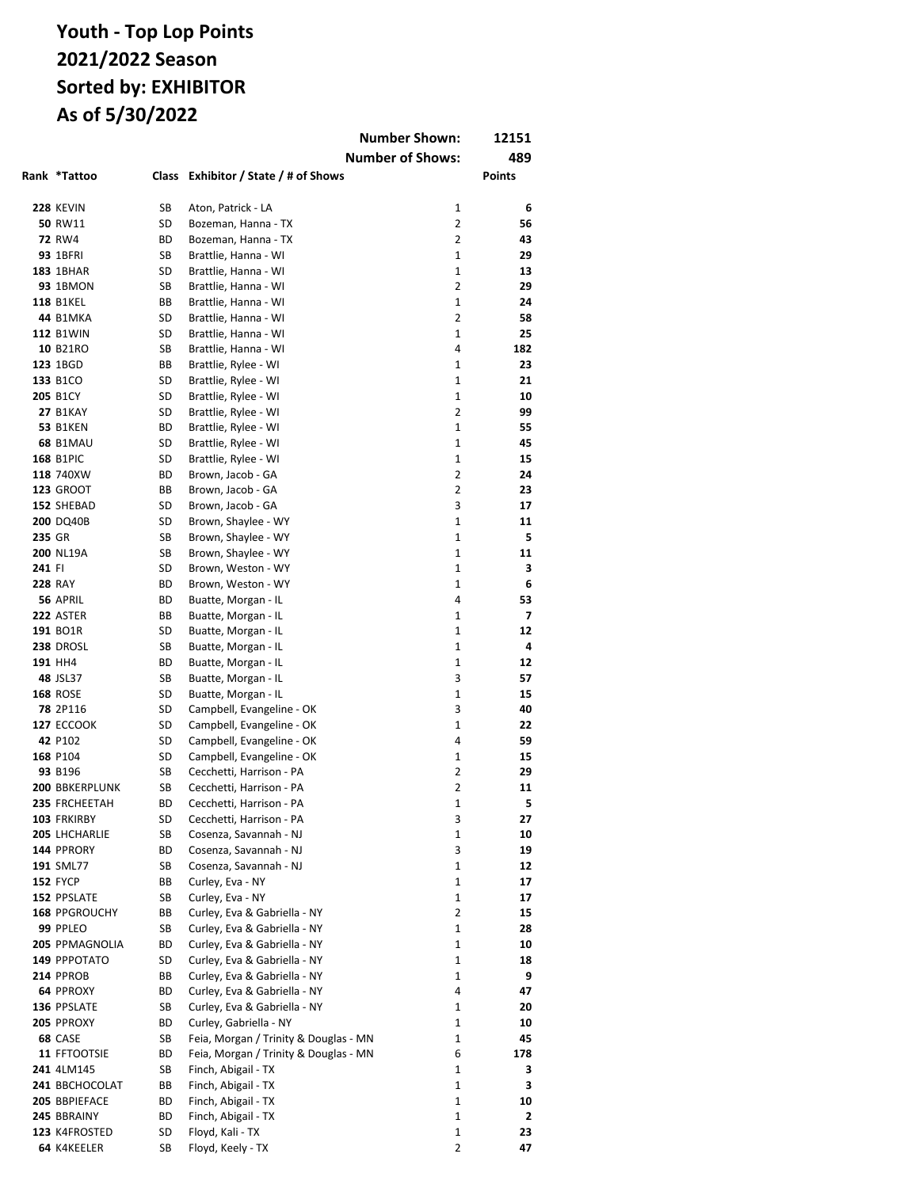|        |                       |          |                                          | <b>Number Shown:</b>    | 12151         |
|--------|-----------------------|----------|------------------------------------------|-------------------------|---------------|
|        |                       |          |                                          | <b>Number of Shows:</b> | 489           |
|        | Rank *Tattoo          | Class    | Exhibitor / State / # of Shows           |                         | <b>Points</b> |
|        |                       |          |                                          |                         |               |
|        | <b>228 KEVIN</b>      | SB       | Aton, Patrick - LA                       | 1                       | 6             |
|        | 50 RW11               | SD       | Bozeman, Hanna - TX                      | 2                       | 56            |
|        | <b>72 RW4</b>         | ВD       | Bozeman, Hanna - TX                      | 2                       | 43            |
|        | <b>93 1BFRI</b>       | SB       | Brattlie, Hanna - WI                     | 1                       | 29            |
|        | <b>183 1BHAR</b>      | SD       | Brattlie, Hanna - WI                     | $\mathbf{1}$            | 13            |
|        | <b>93 1BMON</b>       | SB       | Brattlie, Hanna - WI                     | $\overline{2}$          | 29            |
|        | <b>118 B1KEL</b>      | ВB       | Brattlie, Hanna - WI                     | $\mathbf{1}$            | 24            |
|        | 44 B1MKA              | SD       | Brattlie, Hanna - WI                     | $\overline{2}$          | 58            |
|        | <b>112 B1WIN</b>      | SD       | Brattlie, Hanna - WI                     | $\mathbf{1}$            | 25            |
|        | 10 B21RO              | SB       | Brattlie, Hanna - WI                     | 4                       | 182           |
|        | 123 1BGD              | ВB       | Brattlie, Rylee - WI                     | $\mathbf{1}$            | 23            |
|        | 133 B1CO              | SD       | Brattlie, Rylee - WI                     | $\mathbf{1}$            | 21            |
|        | <b>205 B1CY</b>       | SD       | Brattlie, Rylee - WI                     | 1                       | 10            |
|        | <b>27 B1KAY</b>       | SD       | Brattlie, Rylee - WI                     | 2                       | 99            |
|        | <b>53 B1KEN</b>       | ВD       | Brattlie, Rylee - WI                     | $\mathbf{1}$            | 55            |
|        | <b>68 B1MAU</b>       | SD       | Brattlie, Rylee - WI                     | $\mathbf{1}$            | 45            |
|        | <b>168 B1PIC</b>      | SD       | Brattlie, Rylee - WI                     | 1                       | 15            |
|        | 118 740XW             | ВD       | Brown, Jacob - GA                        | 2                       | 24            |
|        | <b>123 GROOT</b>      | ВB       | Brown, Jacob - GA                        | 2<br>3                  | 23            |
|        | 152 SHEBAD            | SD       | Brown, Jacob - GA                        |                         | 17            |
|        | <b>200 DQ40B</b>      | SD       | Brown, Shaylee - WY                      | 1                       | 11            |
| 235 GR | <b>200 NL19A</b>      | SB       | Brown, Shaylee - WY                      | 1                       | 5             |
| 241 FI |                       | SB<br>SD | Brown, Shaylee - WY                      | 1<br>1                  | 11<br>3       |
|        | <b>228 RAY</b>        | ВD       | Brown, Weston - WY<br>Brown, Weston - WY | 1                       | 6             |
|        | 56 APRIL              | ВD       | Buatte, Morgan - IL                      | 4                       | 53            |
|        | <b>222 ASTER</b>      | ВB       | Buatte, Morgan - IL                      | 1                       | 7             |
|        | 191 BO1R              | SD       | Buatte, Morgan - IL                      | $\mathbf{1}$            | 12            |
|        | <b>238 DROSL</b>      | SB       | Buatte, Morgan - IL                      | 1                       | 4             |
|        | 191 HH4               | ВD       | Buatte, Morgan - IL                      | 1                       | 12            |
|        | 48 JSL37              | SB       | Buatte, Morgan - IL                      | 3                       | 57            |
|        | <b>168 ROSE</b>       | SD       | Buatte, Morgan - IL                      | 1                       | 15            |
|        | 78 2P116              | SD       | Campbell, Evangeline - OK                | 3                       | 40            |
|        | <b>127 ECCOOK</b>     | SD       | Campbell, Evangeline - OK                | 1                       | 22            |
|        | 42 P102               | SD       | Campbell, Evangeline - OK                | 4                       | 59            |
|        | 168 P104              | SD       | Campbell, Evangeline - OK                | 1                       | 15            |
|        | 93 B196               | SB       | Cecchetti, Harrison - PA                 | $\overline{2}$          | 29            |
|        | <b>200 BBKERPLUNK</b> | SB       | Cecchetti, Harrison - PA                 | 2                       | 11            |
|        | 235 FRCHEETAH         | ВD       | Cecchetti, Harrison - PA                 | 1                       | 5             |
|        | 103 FRKIRBY           | SD       | Cecchetti, Harrison - PA                 | 3                       | 27            |
|        | 205 LHCHARLIE         | SB       | Cosenza, Savannah - NJ                   | 1                       | 10            |
|        | 144 PPRORY            | ВD       | Cosenza, Savannah - NJ                   | 3                       | 19            |
|        | 191 SML77             | SB       | Cosenza, Savannah - NJ                   | 1                       | 12            |
|        | <b>152 FYCP</b>       | BВ       | Curley, Eva - NY                         | 1                       | 17            |
|        | 152 PPSLATE           | SB       | Curley, Eva - NY                         | 1                       | 17            |
|        | <b>168 PPGROUCHY</b>  | ВB       | Curley, Eva & Gabriella - NY             | 2                       | 15            |
|        | 99 PPLEO              | SB       | Curley, Eva & Gabriella - NY             | 1                       | 28            |
|        | 205 PPMAGNOLIA        | ВD       | Curley, Eva & Gabriella - NY             | 1                       | 10            |
|        | 149 PPPOTATO          | SD       | Curley, Eva & Gabriella - NY             | 1                       | 18            |
|        | <b>214 PPROB</b>      | BВ       | Curley, Eva & Gabriella - NY             | 1                       | 9             |
|        | 64 PPROXY             | ВD       | Curley, Eva & Gabriella - NY             | 4                       | 47            |
|        | 136 PPSLATE           | SB       | Curley, Eva & Gabriella - NY             | 1                       | 20            |
|        | 205 PPROXY            | ВD       | Curley, Gabriella - NY                   | 1                       | 10            |
|        | 68 CASE               | SB       | Feia, Morgan / Trinity & Douglas - MN    | 1                       | 45            |
|        | 11 FFTOOTSIE          | ВD       | Feia, Morgan / Trinity & Douglas - MN    | 6                       | 178           |
|        | 241 4LM145            | SB       | Finch, Abigail - TX                      | 1                       | з             |
|        | 241 BBCHOCOLAT        | BВ       | Finch, Abigail - TX                      | 1                       | З             |
|        | 205 BBPIEFACE         | ВD       | Finch, Abigail - TX                      | 1                       | 10            |
|        | 245 BBRAINY           | ВD       | Finch, Abigail - TX                      | 1                       | 2             |
|        | 123 K4FROSTED         | SD       | Floyd, Kali - TX                         | 1                       | 23            |
|        | 64 K4KEELER           | SB       | Floyd, Keely - TX                        | 2                       | 47            |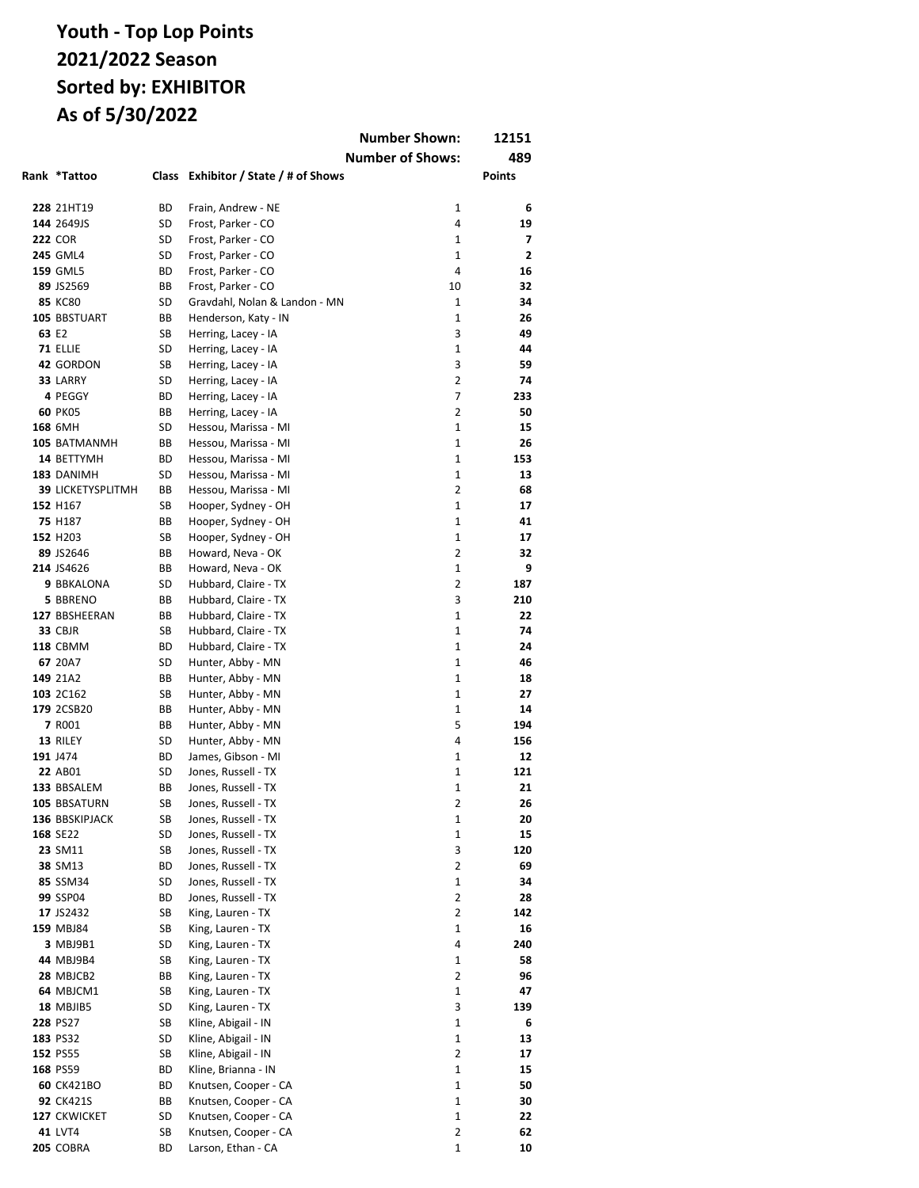|       |                          |              |                                        | <b>Number Shown:</b>    | 12151          |
|-------|--------------------------|--------------|----------------------------------------|-------------------------|----------------|
|       |                          |              |                                        | <b>Number of Shows:</b> | 489            |
|       | Rank *Tattoo             | <b>Class</b> | Exhibitor / State / # of Shows         |                         | <b>Points</b>  |
|       |                          |              |                                        |                         |                |
|       | 228 21HT19               | ВD           | Frain, Andrew - NE                     | 1                       | 6              |
|       | 144 2649JS               | SD           | Frost, Parker - CO                     | 4                       | 19             |
|       | <b>222 COR</b>           | SD           | Frost, Parker - CO                     | $\mathbf{1}$            | 7              |
|       | <b>245 GML4</b>          | SD           | Frost, Parker - CO                     | 1                       | $\overline{2}$ |
|       | <b>159 GML5</b>          | ВD           | Frost, Parker - CO                     | 4                       | 16             |
|       | 89 JS2569                | ВB           | Frost, Parker - CO                     | 10                      | 32             |
|       | <b>85 KC80</b>           | SD           | Gravdahl, Nolan & Landon - MN          | $\mathbf{1}$            | 34             |
|       | 105 BBSTUART             | ВB           | Henderson, Katy - IN                   | $\mathbf{1}$            | 26             |
| 63 E2 |                          | SB           | Herring, Lacey - IA                    | 3                       | 49             |
|       | 71 ELLIE                 | SD           | Herring, Lacey - IA                    | $\mathbf{1}$            | 44             |
|       | 42 GORDON                | SB           | Herring, Lacey - IA                    | 3                       | 59             |
|       | 33 LARRY                 | SD           | Herring, Lacey - IA                    | $\overline{2}$          | 74             |
|       | 4 PEGGY                  | ВD           | Herring, Lacey - IA                    | $\overline{7}$          | 233            |
|       | <b>60 PK05</b>           | ВB           | Herring, Lacey - IA                    | $\overline{2}$          | 50             |
|       | 168 6MH                  | SD           | Hessou, Marissa - MI                   | $\mathbf{1}$            | 15             |
|       | 105 BATMANMH             | ВB           | Hessou, Marissa - MI                   | $\mathbf{1}$            | 26             |
|       | 14 BETTYMH               | ВD           | Hessou, Marissa - MI                   | $\mathbf{1}$            | 153            |
|       | 183 DANIMH               | SD           | Hessou, Marissa - MI                   | $\mathbf{1}$            | 13             |
|       | <b>39 LICKETYSPLITMH</b> | BВ           | Hessou, Marissa - MI                   | $\overline{2}$          | 68             |
|       | 152 H167                 | SB           | Hooper, Sydney - OH                    | 1                       | 17             |
|       | 75 H187                  | ВB           | Hooper, Sydney - OH                    | 1                       | 41             |
|       | 152 H203                 | SB           | Hooper, Sydney - OH                    | 1                       | 17             |
|       | 89 JS2646                | ВB           | Howard, Neva - OK                      | $\overline{2}$          | 32             |
|       | 214 JS4626               | ВB           | Howard, Neva - OK                      | 1                       | 9              |
|       | 9 BBKALONA               | SD           | Hubbard, Claire - TX                   | 2                       | 187            |
|       | 5 BBRENO                 | ВB           | Hubbard, Claire - TX                   | 3                       | 210            |
|       | 127 BBSHEERAN            | BВ           | Hubbard, Claire - TX                   | $\mathbf{1}$            | 22             |
|       | <b>33 CBJR</b>           | SB           | Hubbard, Claire - TX                   | $\mathbf{1}$            | 74             |
|       | <b>118 CBMM</b>          | ВD           | Hubbard, Claire - TX                   | 1<br>$\mathbf{1}$       | 24             |
|       | 67 20A7                  | SD           | Hunter, Abby - MN                      |                         | 46             |
|       | 149 21A2                 | ВB           | Hunter, Abby - MN                      | 1<br>$\mathbf{1}$       | 18<br>27       |
|       | 103 2C162                | SB<br>ВB     | Hunter, Abby - MN                      | 1                       | 14             |
|       | 179 2CSB20<br>7 R001     | ВB           | Hunter, Abby - MN<br>Hunter, Abby - MN | 5                       | 194            |
|       | 13 RILEY                 | SD           | Hunter, Abby - MN                      | 4                       | 156            |
|       | 191 J474                 | ВD           | James, Gibson - MI                     | $\mathbf{1}$            | 12             |
|       | 22 AB01                  | SD           | Jones, Russell - TX                    | 1                       | 121            |
|       | 133 BBSALEM              | ВB           | Jones, Russell - TX                    | $\mathbf{1}$            | 21             |
|       | 105 BBSATURN             | SB           | Jones, Russell - TX                    | 2                       | 26             |
|       | 136 BBSKIPJACK           | SB           | Jones, Russell - TX                    | 1                       | 20             |
|       | 168 SE22                 | SD           | Jones, Russell - TX                    | 1                       | 15             |
|       | 23 SM11                  | SB           | Jones, Russell - TX                    | 3                       | 120            |
|       | 38 SM13                  | ВD           | Jones, Russell - TX                    | $\overline{2}$          | 69             |
|       | 85 SSM34                 | SD           | Jones, Russell - TX                    | 1                       | 34             |
|       | 99 SSP04                 | ВD           | Jones, Russell - TX                    | 2                       | 28             |
|       | 17 JS2432                | SB           | King, Lauren - TX                      | 2                       | 142            |
|       | 159 MBJ84                | SB           | King, Lauren - TX                      | 1                       | 16             |
|       | 3 MBJ9B1                 | SD           | King, Lauren - TX                      | 4                       | 240            |
|       | 44 MBJ9B4                | SB           | King, Lauren - TX                      | 1                       | 58             |
|       | 28 MBJCB2                | BВ           | King, Lauren - TX                      | 2                       | 96             |
|       | 64 MBJCM1                | SB           | King, Lauren - TX                      | 1                       | 47             |
|       | <b>18 MBJIB5</b>         | SD           | King, Lauren - TX                      | 3                       | 139            |
|       | 228 PS27                 | SB           | Kline, Abigail - IN                    | 1                       | 6              |
|       | 183 PS32                 | SD           | Kline, Abigail - IN                    | 1                       | 13             |
|       | 152 PS55                 | SB           | Kline, Abigail - IN                    | $\overline{2}$          | 17             |
|       | 168 PS59                 | ВD           | Kline, Brianna - IN                    | 1                       | 15             |
|       | <b>60 CK421BO</b>        | ВD           | Knutsen, Cooper - CA                   | 1                       | 50             |
|       | 92 CK421S                | BВ           | Knutsen, Cooper - CA                   | 1                       | 30             |
|       | 127 CKWICKET             | SD           | Knutsen, Cooper - CA                   | $\mathbf 1$             | 22             |
|       | <b>41 LVT4</b>           | SB           | Knutsen, Cooper - CA                   | 2                       | 62             |
|       | 205 COBRA                | ВD           | Larson, Ethan - CA                     | 1                       | 10             |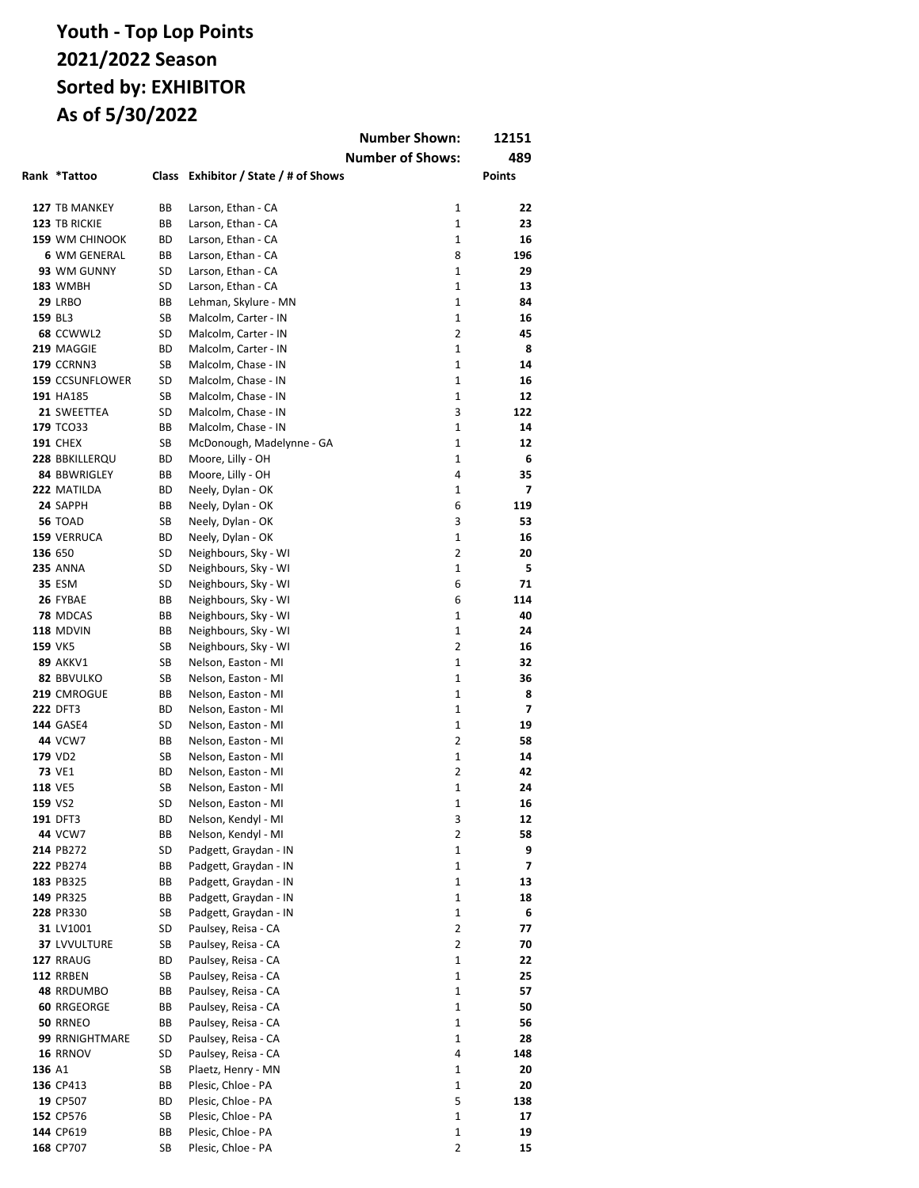|         |                                  |          |                                            | <b>Number Shown:</b>         | 12151               |
|---------|----------------------------------|----------|--------------------------------------------|------------------------------|---------------------|
|         |                                  |          |                                            | <b>Number of Shows:</b>      | 489                 |
|         | Rank *Tattoo                     | Class    | Exhibitor / State / # of Shows             |                              | <b>Points</b>       |
|         |                                  |          |                                            |                              |                     |
|         | 127 TB MANKEY                    | ВB       | Larson, Ethan - CA                         | 1                            | 22                  |
|         | 123 TB RICKIE                    | ВB       | Larson, Ethan - CA                         | 1                            | 23                  |
|         | <b>159 WM CHINOOK</b>            | ВD       | Larson, Ethan - CA                         | $\mathbf{1}$                 | 16                  |
|         | 6 WM GENERAL                     | ВB       | Larson, Ethan - CA                         | 8                            | 196                 |
|         | 93 WM GUNNY                      | SD       | Larson, Ethan - CA                         | $\mathbf{1}$                 | 29                  |
|         | <b>183 WMBH</b>                  | SD       | Larson, Ethan - CA                         | 1                            | 13                  |
|         | 29 LRBO                          | ВB       | Lehman, Skylure - MN                       | $\mathbf{1}$                 | 84                  |
| 159 BL3 |                                  | SB       | Malcolm, Carter - IN                       | $\mathbf{1}$                 | 16                  |
|         | 68 CCWWL2                        | SD       | Malcolm, Carter - IN                       | $\overline{2}$               | 45                  |
|         | 219 MAGGIE                       | ВD       | Malcolm, Carter - IN                       | $\mathbf{1}$                 | 8                   |
|         | <b>179 CCRNN3</b>                | SB       | Malcolm, Chase - IN                        | $\mathbf{1}$                 | 14                  |
|         | 159 CCSUNFLOWER<br>191 HA185     | SD<br>SB | Malcolm, Chase - IN                        | $\mathbf{1}$<br>$\mathbf{1}$ | 16<br>12            |
|         | 21 SWEETTEA                      | SD       | Malcolm, Chase - IN<br>Malcolm, Chase - IN | 3                            | 122                 |
|         | <b>179 TCO33</b>                 | ВB       | Malcolm, Chase - IN                        | $\mathbf{1}$                 | 14                  |
|         | <b>191 CHEX</b>                  | SB       | McDonough, Madelynne - GA                  | $\mathbf{1}$                 | 12                  |
|         | 228 BBKILLERQU                   | ВD       | Moore, Lilly - OH                          | $\mathbf{1}$                 | 6                   |
|         | 84 BBWRIGLEY                     | ВB       | Moore, Lilly - OH                          | 4                            | 35                  |
|         | 222 MATILDA                      | BD       | Neely, Dylan - OK                          | $\mathbf{1}$                 | 7                   |
|         | 24 SAPPH                         | ВB       | Neely, Dylan - OK                          | 6                            | 119                 |
|         | <b>56 TOAD</b>                   | SB       | Neely, Dylan - OK                          | 3                            | 53                  |
|         | 159 VERRUCA                      | ВD       | Neely, Dylan - OK                          | 1                            | 16                  |
| 136 650 |                                  | SD       | Neighbours, Sky - WI                       | 2                            | 20                  |
|         | <b>235 ANNA</b>                  | SD       | Neighbours, Sky - WI                       | $\mathbf{1}$                 | 5                   |
|         | <b>35 ESM</b>                    | SD       | Neighbours, Sky - WI                       | 6                            | 71                  |
|         | 26 FYBAE                         | ВB       | Neighbours, Sky - WI                       | 6                            | 114                 |
|         | 78 MDCAS                         | ВB       | Neighbours, Sky - WI                       | $\mathbf{1}$                 | 40                  |
|         | 118 MDVIN                        | ВB       | Neighbours, Sky - WI                       | $\mathbf{1}$                 | 24                  |
|         | <b>159 VK5</b>                   | SB       | Neighbours, Sky - WI                       | $\overline{2}$               | 16                  |
|         | <b>89 AKKV1</b>                  | SB       | Nelson, Easton - MI                        | $\mathbf{1}$                 | 32                  |
|         | 82 BBVULKO                       | SB       | Nelson, Easton - MI                        | $\mathbf{1}$                 | 36                  |
|         | 219 CMROGUE<br>222 DFT3          | ВB<br>ВD | Nelson, Easton - MI                        | $\mathbf{1}$<br>$\mathbf{1}$ | 8<br>$\overline{ }$ |
|         | <b>144 GASE4</b>                 | SD       | Nelson, Easton - MI<br>Nelson, Easton - MI | $\mathbf{1}$                 | 19                  |
|         | <b>44 VCW7</b>                   | ВB       | Nelson, Easton - MI                        | $\overline{2}$               | 58                  |
|         | 179 VD2                          | SB       | Nelson, Easton - MI                        | $\mathbf{1}$                 | 14                  |
|         | <b>73 VE1</b>                    | ВD       | Nelson, Easton - MI                        | 2                            | 42                  |
|         | <b>118 VE5</b>                   | SB       | Nelson, Easton - MI                        | $\mathbf{1}$                 | 24                  |
|         | 159 VS2                          | SD       | Nelson, Easton - MI                        | 1                            | 16                  |
|         | 191 DFT3                         | ВD       | Nelson, Kendyl - MI                        | З                            | 12                  |
|         | <b>44 VCW7</b>                   | ВB       | Nelson, Kendyl - MI                        | 2                            | 58                  |
|         | 214 PB272                        | SD       | Padgett, Graydan - IN                      | 1                            | 9                   |
|         | 222 PB274                        | ВB       | Padgett, Graydan - IN                      | 1                            | 7                   |
|         | 183 PB325                        | ВB       | Padgett, Graydan - IN                      | 1                            | 13                  |
|         | 149 PR325                        | ВB       | Padgett, Graydan - IN                      | 1                            | 18                  |
|         | 228 PR330                        | SB       | Padgett, Graydan - IN                      | 1                            | 6                   |
|         | 31 LV1001                        | SD       | Paulsey, Reisa - CA                        | 2                            | 77                  |
|         | <b>37 LVVULTURE</b>              | SB       | Paulsey, Reisa - CA                        | 2                            | 70                  |
|         | 127 RRAUG                        | ВD       | Paulsey, Reisa - CA                        | 1                            | 22                  |
|         | 112 RRBEN                        | SB       | Paulsey, Reisa - CA                        | 1                            | 25                  |
|         | 48 RRDUMBO<br><b>60 RRGEORGE</b> | ВB<br>ВB | Paulsey, Reisa - CA                        | 1<br>1                       | 57<br>50            |
|         | <b>50 RRNEO</b>                  | ВB       | Paulsey, Reisa - CA<br>Paulsey, Reisa - CA | 1                            | 56                  |
|         | 99 RRNIGHTMARE                   | SD       | Paulsey, Reisa - CA                        | 1                            | 28                  |
|         | 16 RRNOV                         | SD       | Paulsey, Reisa - CA                        | 4                            | 148                 |
| 136 A1  |                                  | SB       | Plaetz, Henry - MN                         | 1                            | 20                  |
|         | 136 CP413                        | ВB       | Plesic, Chloe - PA                         | 1                            | 20                  |
|         | 19 CP507                         | ВD       | Plesic, Chloe - PA                         | 5                            | 138                 |
|         | 152 CP576                        | SB       | Plesic, Chloe - PA                         | 1                            | 17                  |
|         | 144 CP619                        | ВB       | Plesic, Chloe - PA                         | 1                            | 19                  |
|         | 168 CP707                        | SB       | Plesic, Chloe - PA                         | 2                            | 15                  |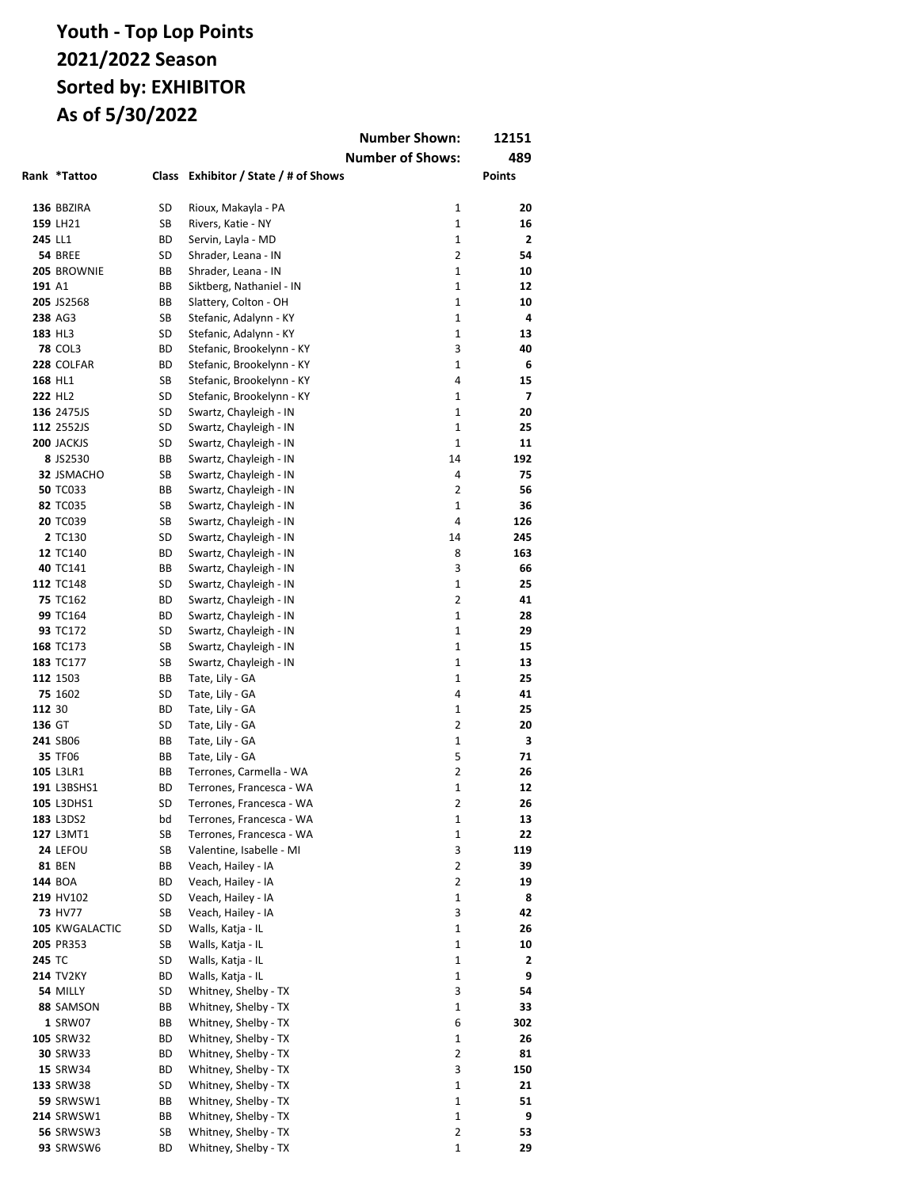|                     |                             |          |                                                  | <b>Number Shown:</b>    | 12151        |
|---------------------|-----------------------------|----------|--------------------------------------------------|-------------------------|--------------|
|                     |                             |          |                                                  | <b>Number of Shows:</b> | 489          |
|                     | Rank *Tattoo                | Class    | Exhibitor / State / # of Shows                   |                         | Points       |
|                     |                             |          |                                                  |                         |              |
|                     | 136 BBZIRA                  | SD       | Rioux, Makayla - PA                              | 1                       | 20           |
|                     | 159 LH21                    | SB       | Rivers, Katie - NY                               | 1                       | 16           |
| 245 LL1             |                             | ВD       | Servin, Layla - MD                               | 1                       | $\mathbf{2}$ |
|                     | <b>54 BREE</b>              | SD       | Shrader, Leana - IN                              | $\overline{2}$          | 54           |
|                     | 205 BROWNIE                 | ВB       | Shrader, Leana - IN                              | $\mathbf{1}$            | 10           |
| 191 A1              |                             | ВB       | Siktberg, Nathaniel - IN                         | 1                       | 12           |
|                     | 205 JS2568                  | ВB       | Slattery, Colton - OH                            | $\mathbf{1}$            | 10           |
|                     | 238 AG3                     | SB       | Stefanic, Adalynn - KY                           | $\mathbf{1}$            | 4            |
|                     | 183 HL3                     | SD       | Stefanic, Adalynn - KY                           | $\mathbf{1}$            | 13           |
|                     | <b>78 COL3</b>              | ВD       | Stefanic, Brookelynn - KY                        | 3                       | 40           |
|                     | 228 COLFAR                  | ВD       | Stefanic, Brookelynn - KY                        | $\mathbf{1}$            | 6            |
|                     | 168 HL1                     | SB       | Stefanic, Brookelynn - KY                        | $\overline{4}$          | 15           |
| 222 HL <sub>2</sub> |                             | SD       | Stefanic, Brookelynn - KY                        | $\mathbf{1}$            | 7            |
|                     | 136 2475JS                  | SD       | Swartz, Chayleigh - IN                           | 1                       | 20           |
|                     | 112 2552JS                  | SD       | Swartz, Chayleigh - IN                           | $\mathbf{1}$            | 25           |
|                     | <b>200 JACKJS</b>           | SD       | Swartz, Chayleigh - IN                           | 1                       | 11           |
|                     | 8 JS2530                    | ВB       | Swartz, Chayleigh - IN                           | 14                      | 192          |
|                     | 32 JSMACHO                  | SB       | Swartz, Chayleigh - IN                           | 4                       | 75           |
|                     | <b>50 TC033</b>             | ВB       | Swartz, Chayleigh - IN                           | 2                       | 56           |
|                     | 82 TC035                    | SB       | Swartz, Chayleigh - IN                           | 1                       | 36           |
|                     | <b>20 TC039</b>             | SB       | Swartz, Chayleigh - IN                           | 4                       | 126          |
|                     | 2 TC130                     | SD       | Swartz, Chayleigh - IN                           | 14                      | 245          |
|                     | 12 TC140                    | ВD       | Swartz, Chayleigh - IN                           | 8                       | 163          |
|                     | 40 TC141                    | BВ       | Swartz, Chayleigh - IN                           | 3                       | 66           |
|                     | 112 TC148                   | SD       | Swartz, Chayleigh - IN                           | 1<br>2                  | 25<br>41     |
|                     | <b>75 TC162</b><br>99 TC164 | ВD       | Swartz, Chayleigh - IN                           | $\mathbf{1}$            | 28           |
|                     | 93 TC172                    | BD<br>SD | Swartz, Chayleigh - IN<br>Swartz, Chayleigh - IN | $\mathbf{1}$            | 29           |
|                     | 168 TC173                   | SB       | Swartz, Chayleigh - IN                           | 1                       | 15           |
|                     | 183 TC177                   | SB       | Swartz, Chayleigh - IN                           | 1                       | 13           |
|                     | 112 1503                    | BВ       | Tate, Lily - GA                                  | $\mathbf{1}$            | 25           |
|                     | 75 1602                     | SD       | Tate, Lily - GA                                  | 4                       | 41           |
| 112 30              |                             | ВD       | Tate, Lily - GA                                  | 1                       | 25           |
| 136 GT              |                             | SD       | Tate, Lily - GA                                  | 2                       | 20           |
|                     | 241 SB06                    | ВB       | Tate, Lily - GA                                  | 1                       | 3            |
|                     | 35 TF06                     | ВB       | Tate, Lily - GA                                  | 5                       | 71           |
|                     | 105 L3LR1                   | BВ       | Terrones, Carmella - WA                          | 2                       | 26           |
|                     | 191 L3BSHS1                 | ВD       | Terrones, Francesca - WA                         | 1                       | 12           |
|                     | 105 L3DHS1                  | SD       | Terrones, Francesca - WA                         | 2                       | 26           |
|                     | 183 L3DS2                   | bd       | Terrones, Francesca - WA                         | 1                       | 13           |
|                     | 127 L3MT1                   | SB       | Terrones, Francesca - WA                         | 1                       | 22           |
|                     | 24 LEFOU                    | SB       | Valentine, Isabelle - MI                         | 3                       | 119          |
|                     | 81 BEN                      | BВ       | Veach, Hailey - IA                               | $\overline{2}$          | 39           |
|                     | 144 BOA                     | ВD       | Veach, Hailey - IA                               | 2                       | 19           |
|                     | 219 HV102                   | SD       | Veach, Hailey - IA                               | 1                       | 8            |
|                     | 73 HV77                     | SB       | Veach, Hailey - IA                               | 3                       | 42           |
|                     | 105 KWGALACTIC              | SD       | Walls, Katja - IL                                | 1                       | 26           |
|                     | 205 PR353                   | SB       | Walls, Katja - IL                                | 1                       | 10           |
| 245 TC              |                             | SD       | Walls, Katja - IL                                | 1                       | 2            |
|                     | <b>214 TV2KY</b>            | ВD       | Walls, Katja - IL                                | 1                       | 9            |
|                     | 54 MILLY                    | SD       | Whitney, Shelby - TX                             | 3                       | 54           |
|                     | 88 SAMSON                   | BВ       | Whitney, Shelby - TX                             | 1                       | 33           |
|                     | 1 SRW07                     | BВ       | Whitney, Shelby - TX                             | 6                       | 302          |
|                     | 105 SRW32                   | ВD       | Whitney, Shelby - TX                             | 1                       | 26           |
|                     | 30 SRW33                    | ВD       | Whitney, Shelby - TX                             | $\overline{2}$          | 81           |
|                     | <b>15 SRW34</b>             | ВD       | Whitney, Shelby - TX                             | 3                       | 150          |
|                     | 133 SRW38                   | SD       | Whitney, Shelby - TX                             | 1                       | 21           |
|                     | 59 SRWSW1                   | BВ       | Whitney, Shelby - TX                             | 1                       | 51           |
|                     | <b>214 SRWSW1</b>           | BВ       | Whitney, Shelby - TX                             | $\mathbf 1$             | 9            |
|                     | <b>56 SRWSW3</b>            | SB       | Whitney, Shelby - TX                             | 2                       | 53           |
|                     | 93 SRWSW6                   | ВD       | Whitney, Shelby - TX                             | 1                       | 29           |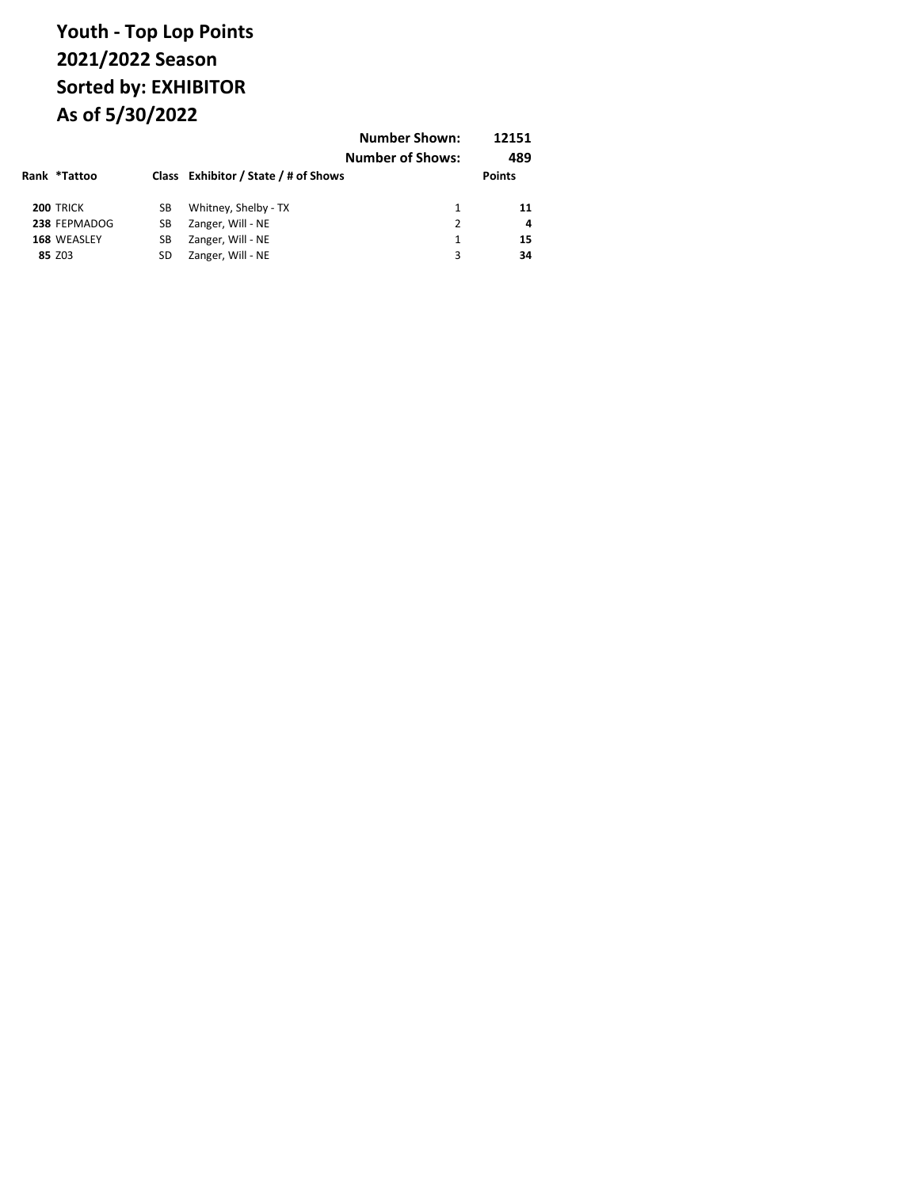| Rank *Tattoo     |    | Class Exhibitor / State / # of Shows | <b>Number Shown:</b><br><b>Number of Shows:</b> | 12151<br>489<br><b>Points</b> |
|------------------|----|--------------------------------------|-------------------------------------------------|-------------------------------|
|                  |    |                                      |                                                 |                               |
| <b>200 TRICK</b> | SВ | Whitney, Shelby - TX                 | 1                                               | 11                            |
| 238 FEPMADOG     | SВ | Zanger, Will - NE                    | 2                                               | 4                             |
| 168 WEASLEY      | SВ | Zanger, Will - NE                    | 1                                               | 15                            |
| 85 Z03           | SD | Zanger, Will - NE                    | 3                                               | 34                            |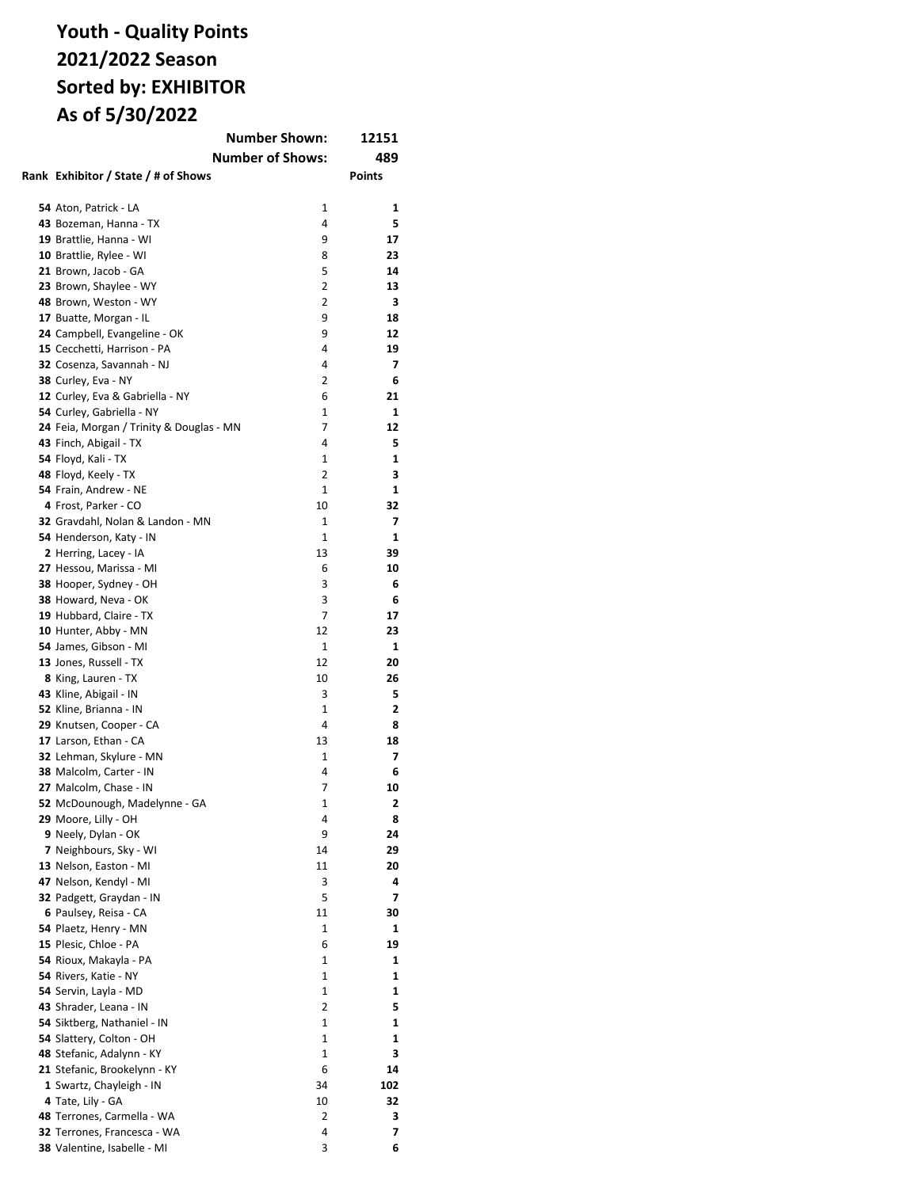# **Youth - Quality Points 2021/2022 Season Sorted by: EXHIBITOR As of 5/30/2022**

| <b>Number Shown:</b><br>12151                 |                         |               |
|-----------------------------------------------|-------------------------|---------------|
|                                               | <b>Number of Shows:</b> | 489           |
| Rank Exhibitor / State / # of Shows           |                         | <b>Points</b> |
|                                               |                         |               |
| 54 Aton, Patrick - LA                         | 1                       | 1             |
| 43 Bozeman, Hanna - TX                        | 4                       | 5             |
| 19 Brattlie, Hanna - WI                       | 9                       | 17            |
| 10 Brattlie, Rylee - WI                       | 8                       | 23            |
| 21 Brown, Jacob - GA                          | 5                       | 14            |
| 23 Brown, Shaylee - WY                        | 2                       | 13            |
| 48 Brown, Weston - WY                         | 2                       | З             |
| 17 Buatte, Morgan - IL                        | 9                       | 18            |
| 24 Campbell, Evangeline - OK                  | 9                       | 12            |
| 15 Cecchetti, Harrison - PA                   | 4                       | 19            |
| 32 Cosenza, Savannah - NJ                     | 4                       | 7             |
| 38 Curley, Eva - NY                           | 2                       | 6             |
| 12 Curley, Eva & Gabriella - NY               | 6                       | 21            |
| 54 Curley, Gabriella - NY                     | 1                       | 1             |
| 24 Feia, Morgan / Trinity & Douglas - MN      | 7                       | 12            |
| 43 Finch, Abigail - TX                        | 4                       | 5             |
| 54 Floyd, Kali - TX                           | 1                       | 1             |
|                                               | 2                       | 3             |
| 48 Floyd, Keely - TX<br>54 Frain, Andrew - NE | 1                       | 1             |
| 4 Frost, Parker - CO                          | 10                      | 32            |
| 32 Gravdahl, Nolan & Landon - MN              | 1                       | 7             |
|                                               | $\mathbf{1}$            | 1             |
| 54 Henderson, Katy - IN                       |                         |               |
| 2 Herring, Lacey - IA                         | 13                      | 39            |
| 27 Hessou, Marissa - MI                       | 6                       | 10            |
| 38 Hooper, Sydney - OH                        | 3                       | 6             |
| 38 Howard, Neva - OK                          | 3                       | 6             |
| 19 Hubbard, Claire - TX                       | 7                       | 17            |
| 10 Hunter, Abby - MN                          | 12                      | 23            |
| 54 James, Gibson - MI                         | 1                       | 1             |
| 13 Jones, Russell - TX                        | 12                      | 20            |
| 8 King, Lauren - TX                           | 10                      | 26            |
| 43 Kline, Abigail - IN                        | 3                       | 5             |
| 52 Kline, Brianna - IN                        | 1                       | 2             |
| 29 Knutsen, Cooper - CA                       | 4                       | 8             |
| 17 Larson, Ethan - CA                         | 13                      | 18            |
| 32 Lehman, Skylure - MN                       | 1                       | 7             |
| 38 Malcolm, Carter - IN                       | 4                       | 6             |
| 27 Malcolm, Chase - IN                        | 7                       | 10            |
| 52 McDounough, Madelynne - GA                 | 1                       | 2             |
| 29 Moore, Lilly - OH                          | 4                       | 8             |
| 9 Neely, Dylan - OK                           | 9                       | 24            |
| 7 Neighbours, Sky - WI                        | 14                      | 29            |
| 13 Nelson, Easton - MI                        | 11                      | 20            |
| 47 Nelson, Kendyl - MI                        | 3                       | 4             |
| 32 Padgett, Graydan - IN                      | 5                       | 7             |
| 6 Paulsey, Reisa - CA                         | 11                      | 30            |
| 54 Plaetz, Henry - MN                         | 1                       | 1             |
| 15 Plesic, Chloe - PA                         | 6                       | 19            |
| 54 Rioux, Makayla - PA                        | $\mathbf{1}$            | 1             |
| 54 Rivers, Katie - NY                         | 1                       | 1             |
| 54 Servin, Layla - MD                         | 1                       | 1             |
| 43 Shrader, Leana - IN                        | 2                       | 5             |
| 54 Siktberg, Nathaniel - IN                   | 1                       | 1             |
| 54 Slattery, Colton - OH                      | 1                       | 1             |
| 48 Stefanic, Adalynn - KY                     | 1                       | 3             |
| 21 Stefanic, Brookelynn - KY                  | 6                       | 14            |
| 1 Swartz, Chayleigh - IN                      | 34                      | 102           |
| 4 Tate, Lily - GA                             | 10                      | 32            |
| 48 Terrones, Carmella - WA                    | 2                       | з             |
| 32 Terrones, Francesca - WA                   | 4                       | 7             |
| 38 Valentine, Isabelle - MI                   | 3                       | 6             |